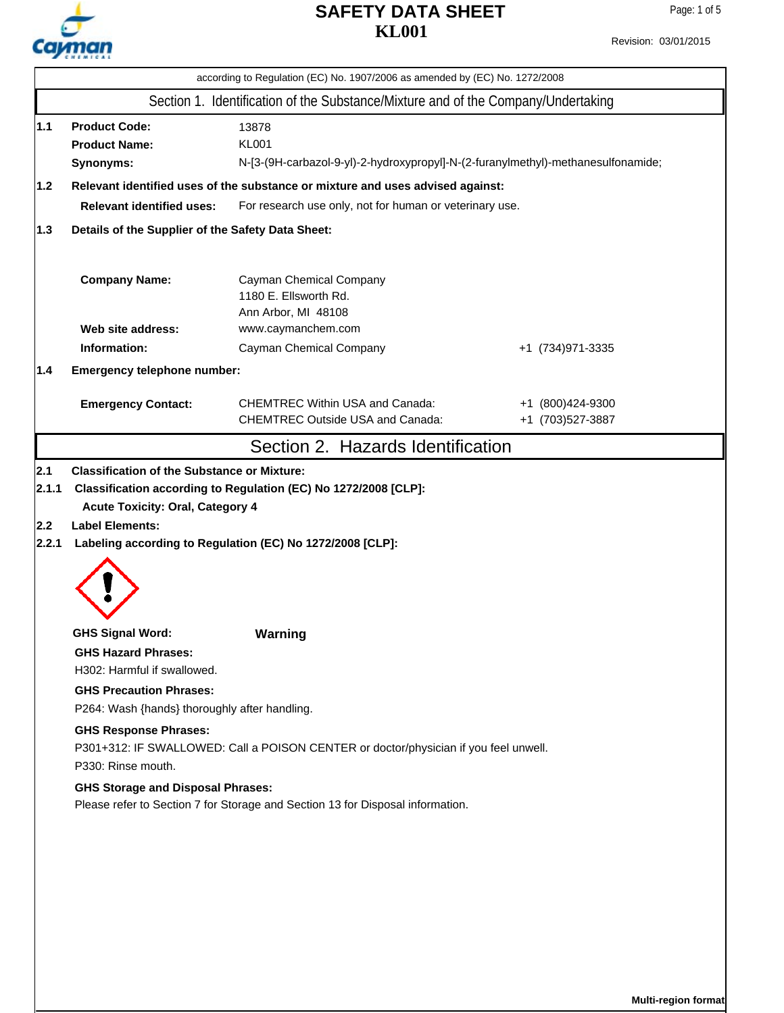

Revision: 03/01/2015

|     | according to Regulation (EC) No. 1907/2006 as amended by (EC) No. 1272/2008                                                                                                            |                                                                                   |                                      |  |  |  |  |  |
|-----|----------------------------------------------------------------------------------------------------------------------------------------------------------------------------------------|-----------------------------------------------------------------------------------|--------------------------------------|--|--|--|--|--|
|     |                                                                                                                                                                                        | Section 1. Identification of the Substance/Mixture and of the Company/Undertaking |                                      |  |  |  |  |  |
| 1.1 | <b>Product Code:</b><br>13878<br><b>KL001</b><br><b>Product Name:</b><br>N-[3-(9H-carbazol-9-yl)-2-hydroxypropyl]-N-(2-furanylmethyl)-methanesulfonamide;<br>Synonyms:                 |                                                                                   |                                      |  |  |  |  |  |
|     | $1.2$<br>Relevant identified uses of the substance or mixture and uses advised against:<br><b>Relevant identified uses:</b><br>For research use only, not for human or veterinary use. |                                                                                   |                                      |  |  |  |  |  |
| 1.3 | Details of the Supplier of the Safety Data Sheet:                                                                                                                                      |                                                                                   |                                      |  |  |  |  |  |
|     | <b>Company Name:</b>                                                                                                                                                                   | Cayman Chemical Company<br>1180 E. Ellsworth Rd.<br>Ann Arbor, MI 48108           |                                      |  |  |  |  |  |
|     | Web site address:                                                                                                                                                                      | www.caymanchem.com                                                                |                                      |  |  |  |  |  |
|     | Information:                                                                                                                                                                           | Cayman Chemical Company                                                           | +1 (734) 971-3335                    |  |  |  |  |  |
| 1.4 | Emergency telephone number:                                                                                                                                                            |                                                                                   |                                      |  |  |  |  |  |
|     | <b>Emergency Contact:</b>                                                                                                                                                              | <b>CHEMTREC Within USA and Canada:</b><br><b>CHEMTREC Outside USA and Canada:</b> | +1 (800)424-9300<br>+1 (703)527-3887 |  |  |  |  |  |
|     |                                                                                                                                                                                        | Section 2. Hazards Identification                                                 |                                      |  |  |  |  |  |
|     |                                                                                                                                                                                        |                                                                                   |                                      |  |  |  |  |  |
|     | <b>GHS Signal Word:</b><br><b>GHS Hazard Phrases:</b>                                                                                                                                  | Warning                                                                           |                                      |  |  |  |  |  |
|     | H302: Harmful if swallowed.<br><b>GHS Precaution Phrases:</b>                                                                                                                          |                                                                                   |                                      |  |  |  |  |  |
|     | P264: Wash {hands} thoroughly after handling.                                                                                                                                          |                                                                                   |                                      |  |  |  |  |  |
|     | <b>GHS Response Phrases:</b><br>P301+312: IF SWALLOWED: Call a POISON CENTER or doctor/physician if you feel unwell.<br>P330: Rinse mouth.                                             |                                                                                   |                                      |  |  |  |  |  |
|     | <b>GHS Storage and Disposal Phrases:</b><br>Please refer to Section 7 for Storage and Section 13 for Disposal information.                                                             |                                                                                   |                                      |  |  |  |  |  |
|     |                                                                                                                                                                                        |                                                                                   |                                      |  |  |  |  |  |
|     |                                                                                                                                                                                        |                                                                                   |                                      |  |  |  |  |  |
|     |                                                                                                                                                                                        |                                                                                   |                                      |  |  |  |  |  |
|     |                                                                                                                                                                                        |                                                                                   |                                      |  |  |  |  |  |
|     |                                                                                                                                                                                        |                                                                                   |                                      |  |  |  |  |  |
|     |                                                                                                                                                                                        |                                                                                   |                                      |  |  |  |  |  |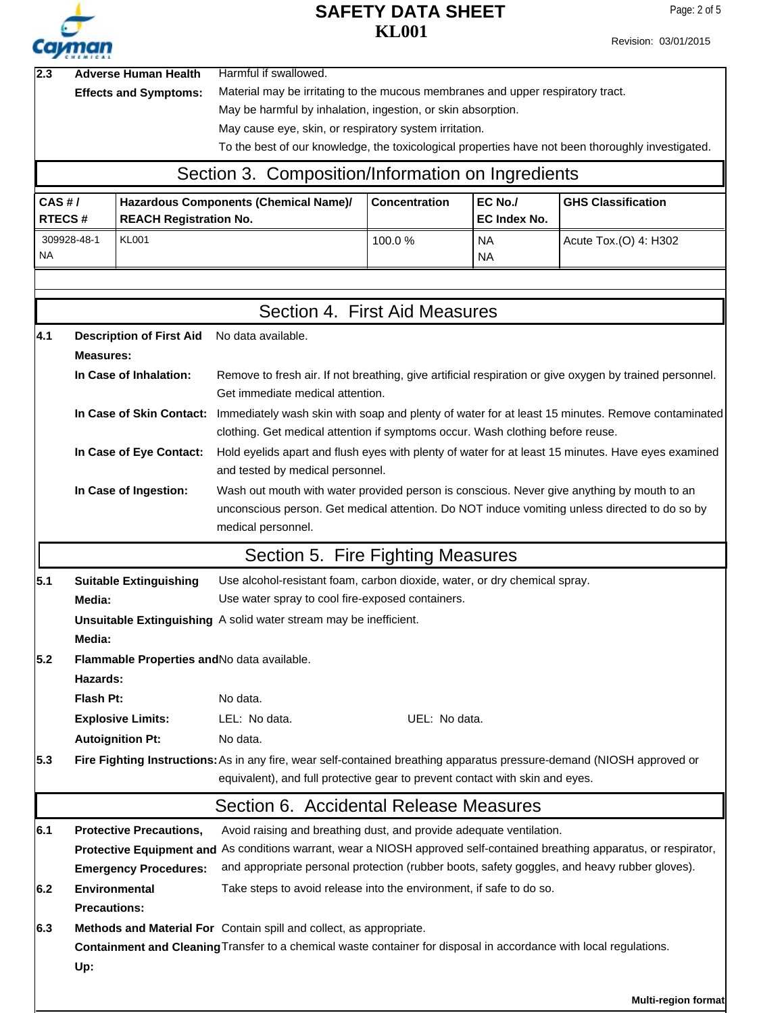

Revision: 03/01/2015

| 2.3                     | <b>Adverse Human Health</b><br><b>Effects and Symptoms:</b>                                                                                                                                                                                                                                                                                                       |                                                                                                                                                                | Harmful if swallowed.<br>Material may be irritating to the mucous membranes and upper respiratory tract.<br>May be harmful by inhalation, ingestion, or skin absorption.<br>May cause eye, skin, or respiratory system irritation.<br>To the best of our knowledge, the toxicological properties have not been thoroughly investigated. |                      |                         |                                                                                               |  |  |  |
|-------------------------|-------------------------------------------------------------------------------------------------------------------------------------------------------------------------------------------------------------------------------------------------------------------------------------------------------------------------------------------------------------------|----------------------------------------------------------------------------------------------------------------------------------------------------------------|-----------------------------------------------------------------------------------------------------------------------------------------------------------------------------------------------------------------------------------------------------------------------------------------------------------------------------------------|----------------------|-------------------------|-----------------------------------------------------------------------------------------------|--|--|--|
|                         |                                                                                                                                                                                                                                                                                                                                                                   |                                                                                                                                                                | Section 3. Composition/Information on Ingredients                                                                                                                                                                                                                                                                                       |                      |                         |                                                                                               |  |  |  |
| CAS H/<br><b>RTECS#</b> |                                                                                                                                                                                                                                                                                                                                                                   | <b>REACH Registration No.</b>                                                                                                                                  | Hazardous Components (Chemical Name)/                                                                                                                                                                                                                                                                                                   | <b>Concentration</b> | EC No./<br>EC Index No. | <b>GHS Classification</b>                                                                     |  |  |  |
| ΝA                      | 309928-48-1<br><b>KL001</b>                                                                                                                                                                                                                                                                                                                                       |                                                                                                                                                                |                                                                                                                                                                                                                                                                                                                                         | 100.0%               | <b>NA</b><br><b>NA</b>  | Acute Tox.(O) 4: H302                                                                         |  |  |  |
|                         |                                                                                                                                                                                                                                                                                                                                                                   |                                                                                                                                                                | Section 4. First Aid Measures                                                                                                                                                                                                                                                                                                           |                      |                         |                                                                                               |  |  |  |
| 4.1                     | <b>Measures:</b>                                                                                                                                                                                                                                                                                                                                                  | <b>Description of First Aid</b><br>In Case of Inhalation:                                                                                                      | No data available.<br>Remove to fresh air. If not breathing, give artificial respiration or give oxygen by trained personnel.<br>Get immediate medical attention.                                                                                                                                                                       |                      |                         |                                                                                               |  |  |  |
|                         |                                                                                                                                                                                                                                                                                                                                                                   | In Case of Skin Contact:<br>In Case of Eye Contact:                                                                                                            | Immediately wash skin with soap and plenty of water for at least 15 minutes. Remove contaminated<br>clothing. Get medical attention if symptoms occur. Wash clothing before reuse.<br>Hold eyelids apart and flush eyes with plenty of water for at least 15 minutes. Have eyes examined<br>and tested by medical personnel.            |                      |                         |                                                                                               |  |  |  |
|                         |                                                                                                                                                                                                                                                                                                                                                                   | In Case of Ingestion:                                                                                                                                          | Wash out mouth with water provided person is conscious. Never give anything by mouth to an<br>medical personnel.                                                                                                                                                                                                                        |                      |                         | unconscious person. Get medical attention. Do NOT induce vomiting unless directed to do so by |  |  |  |
|                         |                                                                                                                                                                                                                                                                                                                                                                   |                                                                                                                                                                | Section 5. Fire Fighting Measures                                                                                                                                                                                                                                                                                                       |                      |                         |                                                                                               |  |  |  |
| 5.1                     | Media:                                                                                                                                                                                                                                                                                                                                                            | Use alcohol-resistant foam, carbon dioxide, water, or dry chemical spray.<br><b>Suitable Extinguishing</b><br>Use water spray to cool fire-exposed containers. |                                                                                                                                                                                                                                                                                                                                         |                      |                         |                                                                                               |  |  |  |
|                         | Media:                                                                                                                                                                                                                                                                                                                                                            |                                                                                                                                                                | Unsuitable Extinguishing A solid water stream may be inefficient.                                                                                                                                                                                                                                                                       |                      |                         |                                                                                               |  |  |  |
| 5.2                     | Hazards:                                                                                                                                                                                                                                                                                                                                                          |                                                                                                                                                                | Flammable Properties and No data available.                                                                                                                                                                                                                                                                                             |                      |                         |                                                                                               |  |  |  |
|                         | Flash Pt:                                                                                                                                                                                                                                                                                                                                                         | <b>Explosive Limits:</b><br><b>Autoignition Pt:</b>                                                                                                            | No data.<br>LEL: No data.<br>No data.                                                                                                                                                                                                                                                                                                   | UEL: No data.        |                         |                                                                                               |  |  |  |
| 5.3                     |                                                                                                                                                                                                                                                                                                                                                                   |                                                                                                                                                                | Fire Fighting Instructions: As in any fire, wear self-contained breathing apparatus pressure-demand (NIOSH approved or<br>equivalent), and full protective gear to prevent contact with skin and eyes.                                                                                                                                  |                      |                         |                                                                                               |  |  |  |
|                         |                                                                                                                                                                                                                                                                                                                                                                   |                                                                                                                                                                | Section 6. Accidental Release Measures                                                                                                                                                                                                                                                                                                  |                      |                         |                                                                                               |  |  |  |
| 6.1                     | <b>Protective Precautions,</b><br>Avoid raising and breathing dust, and provide adequate ventilation.<br>Protective Equipment and As conditions warrant, wear a NIOSH approved self-contained breathing apparatus, or respirator,<br>and appropriate personal protection (rubber boots, safety goggles, and heavy rubber gloves).<br><b>Emergency Procedures:</b> |                                                                                                                                                                |                                                                                                                                                                                                                                                                                                                                         |                      |                         |                                                                                               |  |  |  |
| 6.2                     | <b>Precautions:</b>                                                                                                                                                                                                                                                                                                                                               | Environmental                                                                                                                                                  | Take steps to avoid release into the environment, if safe to do so.                                                                                                                                                                                                                                                                     |                      |                         |                                                                                               |  |  |  |
| 6.3                     | Up:                                                                                                                                                                                                                                                                                                                                                               |                                                                                                                                                                | Methods and Material For Contain spill and collect, as appropriate.<br>Containment and Cleaning Transfer to a chemical waste container for disposal in accordance with local regulations.                                                                                                                                               |                      |                         |                                                                                               |  |  |  |

**Multi-region format**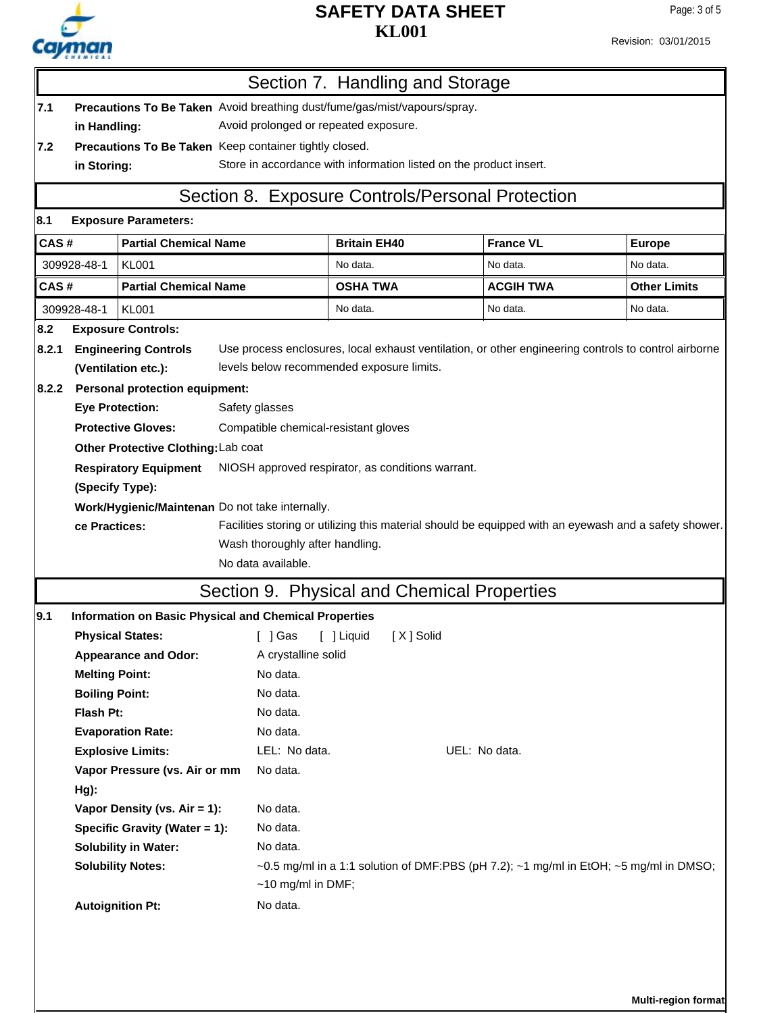

Revision: 03/01/2015

|                                                 |                                                                                      |                                                              |  | Section 7. Handling and Storage                                                                         |                     |             |               |                  |          |                                                                                                       |
|-------------------------------------------------|--------------------------------------------------------------------------------------|--------------------------------------------------------------|--|---------------------------------------------------------------------------------------------------------|---------------------|-------------|---------------|------------------|----------|-------------------------------------------------------------------------------------------------------|
| 7.1                                             | Precautions To Be Taken Avoid breathing dust/fume/gas/mist/vapours/spray.            |                                                              |  |                                                                                                         |                     |             |               |                  |          |                                                                                                       |
|                                                 | Avoid prolonged or repeated exposure.<br>in Handling:                                |                                                              |  |                                                                                                         |                     |             |               |                  |          |                                                                                                       |
| 7.2                                             | Precautions To Be Taken Keep container tightly closed.                               |                                                              |  |                                                                                                         |                     |             |               |                  |          |                                                                                                       |
|                                                 | Store in accordance with information listed on the product insert.<br>in Storing:    |                                                              |  |                                                                                                         |                     |             |               |                  |          |                                                                                                       |
|                                                 |                                                                                      |                                                              |  | Section 8. Exposure Controls/Personal Protection                                                        |                     |             |               |                  |          |                                                                                                       |
| 8.1                                             |                                                                                      | <b>Exposure Parameters:</b>                                  |  |                                                                                                         |                     |             |               |                  |          |                                                                                                       |
|                                                 | CAS#<br><b>Partial Chemical Name</b>                                                 |                                                              |  |                                                                                                         | <b>Britain EH40</b> |             |               | <b>France VL</b> |          | <b>Europe</b>                                                                                         |
|                                                 | 309928-48-1<br><b>KL001</b>                                                          |                                                              |  | No data.                                                                                                |                     |             | No data.      |                  | No data. |                                                                                                       |
| CAS#                                            |                                                                                      | <b>Partial Chemical Name</b>                                 |  |                                                                                                         | <b>OSHA TWA</b>     |             |               | <b>ACGIH TWA</b> |          | <b>Other Limits</b>                                                                                   |
|                                                 | 309928-48-1                                                                          | <b>KL001</b>                                                 |  |                                                                                                         | No data.            |             |               | No data.         |          | No data.                                                                                              |
| 8.2                                             |                                                                                      | <b>Exposure Controls:</b>                                    |  |                                                                                                         |                     |             |               |                  |          |                                                                                                       |
| 8.2.1                                           |                                                                                      | <b>Engineering Controls</b>                                  |  |                                                                                                         |                     |             |               |                  |          | Use process enclosures, local exhaust ventilation, or other engineering controls to control airborne  |
|                                                 |                                                                                      | (Ventilation etc.):                                          |  | levels below recommended exposure limits.                                                               |                     |             |               |                  |          |                                                                                                       |
| 8.2.2                                           |                                                                                      | <b>Personal protection equipment:</b>                        |  |                                                                                                         |                     |             |               |                  |          |                                                                                                       |
|                                                 |                                                                                      | <b>Eye Protection:</b>                                       |  | Safety glasses                                                                                          |                     |             |               |                  |          |                                                                                                       |
|                                                 |                                                                                      | <b>Protective Gloves:</b>                                    |  | Compatible chemical-resistant gloves                                                                    |                     |             |               |                  |          |                                                                                                       |
|                                                 |                                                                                      | Other Protective Clothing: Lab coat                          |  |                                                                                                         |                     |             |               |                  |          |                                                                                                       |
|                                                 | <b>Respiratory Equipment</b><br>NIOSH approved respirator, as conditions warrant.    |                                                              |  |                                                                                                         |                     |             |               |                  |          |                                                                                                       |
|                                                 | (Specify Type):                                                                      |                                                              |  |                                                                                                         |                     |             |               |                  |          |                                                                                                       |
|                                                 | Work/Hygienic/Maintenan Do not take internally.                                      |                                                              |  |                                                                                                         |                     |             |               |                  |          |                                                                                                       |
|                                                 | ce Practices:                                                                        |                                                              |  |                                                                                                         |                     |             |               |                  |          | Facilities storing or utilizing this material should be equipped with an eyewash and a safety shower. |
|                                                 |                                                                                      |                                                              |  | Wash thoroughly after handling.                                                                         |                     |             |               |                  |          |                                                                                                       |
|                                                 |                                                                                      |                                                              |  | No data available.                                                                                      |                     |             |               |                  |          |                                                                                                       |
|                                                 |                                                                                      |                                                              |  | Section 9. Physical and Chemical Properties                                                             |                     |             |               |                  |          |                                                                                                       |
| 9.1                                             |                                                                                      | <b>Information on Basic Physical and Chemical Properties</b> |  |                                                                                                         |                     |             |               |                  |          |                                                                                                       |
|                                                 | <b>Physical States:</b>                                                              |                                                              |  | ] Gas                                                                                                   | [ ] Liquid          | [ X ] Solid |               |                  |          |                                                                                                       |
|                                                 |                                                                                      | <b>Appearance and Odor:</b>                                  |  | A crystalline solid                                                                                     |                     |             |               |                  |          |                                                                                                       |
|                                                 | <b>Melting Point:</b>                                                                |                                                              |  | No data.                                                                                                |                     |             |               |                  |          |                                                                                                       |
|                                                 | <b>Boiling Point:</b>                                                                |                                                              |  | No data.                                                                                                |                     |             |               |                  |          |                                                                                                       |
|                                                 | Flash Pt:                                                                            |                                                              |  | No data.                                                                                                |                     |             |               |                  |          |                                                                                                       |
|                                                 |                                                                                      | <b>Evaporation Rate:</b>                                     |  | No data.                                                                                                |                     |             |               |                  |          |                                                                                                       |
|                                                 |                                                                                      | <b>Explosive Limits:</b>                                     |  | LEL: No data.                                                                                           |                     |             | UEL: No data. |                  |          |                                                                                                       |
|                                                 |                                                                                      | Vapor Pressure (vs. Air or mm                                |  | No data.                                                                                                |                     |             |               |                  |          |                                                                                                       |
|                                                 | $Hg$ ):                                                                              |                                                              |  |                                                                                                         |                     |             |               |                  |          |                                                                                                       |
|                                                 | No data.<br>Vapor Density (vs. Air = 1):                                             |                                                              |  |                                                                                                         |                     |             |               |                  |          |                                                                                                       |
|                                                 | No data.<br>Specific Gravity (Water = 1):<br>No data.<br><b>Solubility in Water:</b> |                                                              |  |                                                                                                         |                     |             |               |                  |          |                                                                                                       |
|                                                 |                                                                                      |                                                              |  | $\sim$ 0.5 mg/ml in a 1:1 solution of DMF:PBS (pH 7.2); $\sim$ 1 mg/ml in EtOH; $\sim$ 5 mg/ml in DMSO; |                     |             |               |                  |          |                                                                                                       |
| <b>Solubility Notes:</b><br>$~10$ mg/ml in DMF; |                                                                                      |                                                              |  |                                                                                                         |                     |             |               |                  |          |                                                                                                       |
|                                                 |                                                                                      | <b>Autoignition Pt:</b>                                      |  | No data.                                                                                                |                     |             |               |                  |          |                                                                                                       |
|                                                 |                                                                                      |                                                              |  |                                                                                                         |                     |             |               |                  |          |                                                                                                       |
|                                                 |                                                                                      |                                                              |  |                                                                                                         |                     |             |               |                  |          |                                                                                                       |

**Multi-region format**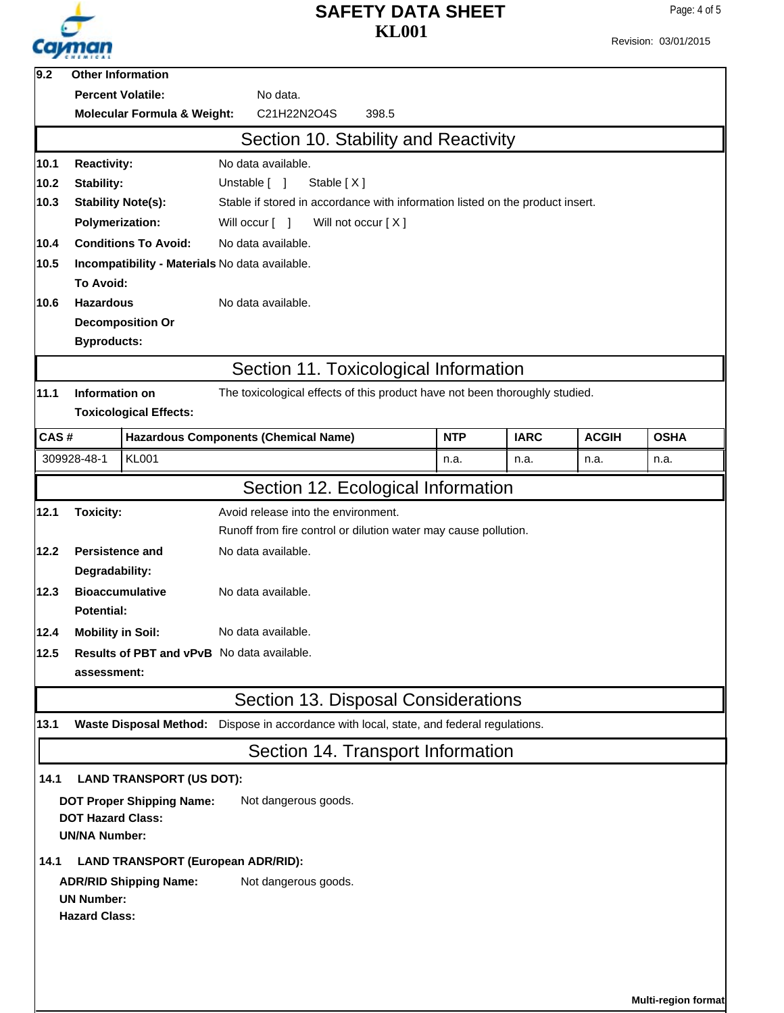

Revision: 03/01/2015

| 9.2  |                                                                | <b>Other Information</b>                  |                                                                               |            |             |              |             |
|------|----------------------------------------------------------------|-------------------------------------------|-------------------------------------------------------------------------------|------------|-------------|--------------|-------------|
|      |                                                                | <b>Percent Volatile:</b>                  | No data.                                                                      |            |             |              |             |
|      | C21H22N2O4S<br><b>Molecular Formula &amp; Weight:</b><br>398.5 |                                           |                                                                               |            |             |              |             |
|      |                                                                |                                           | Section 10. Stability and Reactivity                                          |            |             |              |             |
| 10.1 | <b>Reactivity:</b><br>No data available.                       |                                           |                                                                               |            |             |              |             |
| 10.2 | Stability:                                                     |                                           | Unstable [ ]<br>Stable [X]                                                    |            |             |              |             |
| 10.3 |                                                                | <b>Stability Note(s):</b>                 | Stable if stored in accordance with information listed on the product insert. |            |             |              |             |
|      | <b>Polymerization:</b>                                         |                                           | Will not occur [X]<br>Will occur [ ]                                          |            |             |              |             |
| 10.4 | <b>Conditions To Avoid:</b><br>No data available.              |                                           |                                                                               |            |             |              |             |
| 10.5 |                                                                |                                           | Incompatibility - Materials No data available.                                |            |             |              |             |
|      | To Avoid:                                                      |                                           |                                                                               |            |             |              |             |
| 10.6 | <b>Hazardous</b>                                               |                                           | No data available.                                                            |            |             |              |             |
|      |                                                                | <b>Decomposition Or</b>                   |                                                                               |            |             |              |             |
|      | <b>Byproducts:</b>                                             |                                           |                                                                               |            |             |              |             |
|      |                                                                |                                           | Section 11. Toxicological Information                                         |            |             |              |             |
| 11.1 | <b>Information on</b>                                          |                                           | The toxicological effects of this product have not been thoroughly studied.   |            |             |              |             |
|      |                                                                | <b>Toxicological Effects:</b>             |                                                                               |            |             |              |             |
| CAS# |                                                                |                                           | <b>Hazardous Components (Chemical Name)</b>                                   | <b>NTP</b> | <b>IARC</b> | <b>ACGIH</b> | <b>OSHA</b> |
|      | 309928-48-1                                                    | <b>KL001</b>                              |                                                                               | n.a.       | n.a.        | n.a.         | n.a.        |
|      |                                                                |                                           | Section 12. Ecological Information                                            |            |             |              |             |
| 12.1 | <b>Toxicity:</b>                                               |                                           | Avoid release into the environment.                                           |            |             |              |             |
|      |                                                                |                                           | Runoff from fire control or dilution water may cause pollution.               |            |             |              |             |
| 12.2 | <b>Persistence and</b>                                         |                                           | No data available.                                                            |            |             |              |             |
|      | Degradability:                                                 |                                           |                                                                               |            |             |              |             |
| 12.3 |                                                                | <b>Bioaccumulative</b>                    | No data available.                                                            |            |             |              |             |
|      | <b>Potential:</b>                                              |                                           |                                                                               |            |             |              |             |
| 12.4 | <b>Mobility in Soil:</b>                                       |                                           | No data available.                                                            |            |             |              |             |
| 12.5 |                                                                |                                           | Results of PBT and vPvB No data available.                                    |            |             |              |             |
|      | assessment:                                                    |                                           |                                                                               |            |             |              |             |
|      |                                                                |                                           | Section 13. Disposal Considerations                                           |            |             |              |             |
| 13.1 |                                                                | <b>Waste Disposal Method:</b>             | Dispose in accordance with local, state, and federal regulations.             |            |             |              |             |
|      |                                                                |                                           | Section 14. Transport Information                                             |            |             |              |             |
| 14.1 |                                                                | <b>LAND TRANSPORT (US DOT):</b>           |                                                                               |            |             |              |             |
|      |                                                                | <b>DOT Proper Shipping Name:</b>          | Not dangerous goods.                                                          |            |             |              |             |
|      | <b>DOT Hazard Class:</b><br><b>UN/NA Number:</b>               |                                           |                                                                               |            |             |              |             |
| 14.1 |                                                                | <b>LAND TRANSPORT (European ADR/RID):</b> |                                                                               |            |             |              |             |
|      |                                                                |                                           | Not dangerous goods.                                                          |            |             |              |             |
|      | <b>ADR/RID Shipping Name:</b><br><b>UN Number:</b>             |                                           |                                                                               |            |             |              |             |
|      | <b>Hazard Class:</b>                                           |                                           |                                                                               |            |             |              |             |
|      |                                                                |                                           |                                                                               |            |             |              |             |
|      |                                                                |                                           |                                                                               |            |             |              |             |
|      |                                                                |                                           |                                                                               |            |             |              |             |

**Multi-region format**